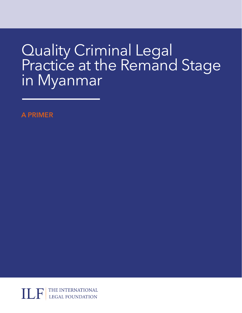# Quality Criminal Legal Practice at the Remand Stage in Myanmar

**A PRIMER**

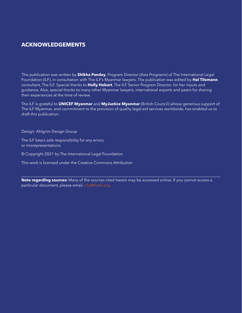# **ACKNOWLEDGEMENTS**

This publication was written by **Shikha Pandey**, Program Director (Asia Programs) of The International Legal Foundation (ILF), in consultation with The ILF's Myanmar lawyers. The publication was edited by **Hal Tilemann**, consultant, The ILF. Special thanks to **Holly Hobart**, The ILF Senior Program Director, for her inputs and guidance. Also, special thanks to many other Myanmar lawyers, international experts and peers for sharing their experiences at the time of review.

The ILF is grateful to **UNICEF Myanmar** and **MyJustice Myanmar** (British Council) whose generous support of The ILF Myanmar, and commitment to the provision of quality legal aid services worldwide, has enabled us to draft this publication.

Design: Ahlgrim Design Group

The ILF bears sole responsibility for any errors or misrepresentations.

© Copyright 2021 by The International Legal Foundation

This work is licensed under the Creative Commons Attribution

**Note regarding sources:** Many of the sources cited herein may be accessed online. If you cannot access a particular document, please email [info@theilf.org.](mailto:info@theilf.org)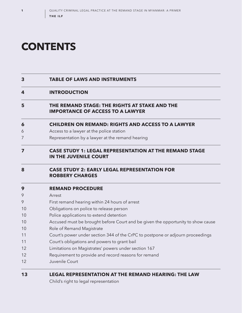# **CONTENTS**

## **TABLE OF LAWS AND INSTRUMENTS**

### **INTRODUCTION**

**5 THE REMAND STAGE: THE RIGHTS AT STAKE AND THE IMPORTANCE OF ACCESS TO A LAWYER**

### **6 CHILDREN ON REMAND: RIGHTS AND ACCESS TO A LAWYER**

- Access to a lawyer at the police station
- Representation by a lawyer at the remand hearing

## **7 CASE STUDY 1: LEGAL REPRESENTATION AT THE REMAND STAGE IN THE JUVENILE COURT**

## **8 CASE STUDY 2: EARLY LEGAL REPRESENTATION FOR ROBBERY CHARGES**

| 9  | <b>REMAND PROCEDURE</b>                                                         |
|----|---------------------------------------------------------------------------------|
| 9  | Arrest                                                                          |
| 9  | First remand hearing within 24 hours of arrest                                  |
| 10 | Obligations on police to release person                                         |
| 10 | Police applications to extend detention                                         |
| 10 | Accused must be brought before Court and be given the opportunity to show cause |
| 10 | Role of Remand Magistrate                                                       |
| 11 | Court's power under section 344 of the CrPC to postpone or adjourn proceedings  |
| 11 | Court's obligations and powers to grant bail                                    |
| 12 | Limitations on Magistrates' powers under section 167                            |
| 12 | Requirement to provide and record reasons for remand                            |
| 12 | Juvenile Court                                                                  |

# **13 LEGAL REPRESENTATION AT THE REMAND HEARING: THE LAW**

Child's right to legal representation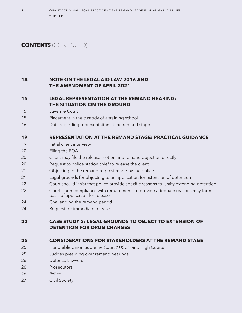# **CONTENTS** (CONTINUED)

## **14 NOTE ON THE LEGAL AID LAW 2016 AND THE AMENDMENT OF APRIL 2021**

### **15 LEGAL REPRESENTATION AT THE REMAND HEARING: THE SITUATION ON THE GROUND**

- 15 Juvenile Court
- 15 Placement in the custody of a training school
- 16 Data regarding representation at the remand stage

# **19 REPRESENTATION AT THE REMAND STAGE: PRACTICAL GUIDANCE**

- 19 **Initial client interview**
- 20 Filing the POA
- 20 Client may file the release motion and remand objection directly
- 20 Request to police station chief to release the client
- 21 Objecting to the remand request made by the police
- 21 Legal grounds for objecting to an application for extension of detention
- 22 Court should insist that police provide specific reasons to justify extending detention
- 22 Court's non-compliance with requirements to provide adequate reasons may form basis of application for release
- 24 Challenging the remand period
- 24 Request for immediate release

# **22 CASE STUDY 3: LEGAL GROUNDS TO OBJECT TO EXTENSION OF DETENTION FOR DRUG CHARGES**

### **25 CONSIDERATIONS FOR STAKEHOLDERS AT THE REMAND STAGE**

- 25 Honorable Union Supreme Court ("USC") and High Courts
- 25 Judges presiding over remand hearings
- 26 Defence Lawyers
- 26 Prosecutors
- 26 Police
- 27 Civil Society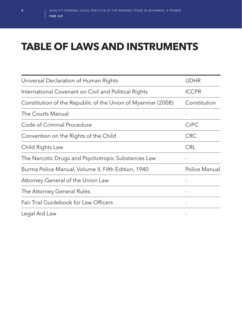# **TABLE OF LAWS AND INSTRUMENTS**

| Universal Declaration of Human Rights                       | <b>UDHR</b>   |
|-------------------------------------------------------------|---------------|
| International Covenant on Civil and Political Rights        | <b>ICCPR</b>  |
| Constitution of the Republic of the Union of Myanmar (2008) | Constitution  |
| The Courts Manual                                           |               |
| Code of Criminal Procedure                                  | CrPC          |
| Convention on the Rights of the Child                       | <b>CRC</b>    |
| Child Rights Law                                            | <b>CRL</b>    |
| The Narcotic Drugs and Psychotropic Substances Law          |               |
| Burma Police Manual, Volume II, Fifth Edition, 1940         | Police Manual |
| Attorney-General of the Union Law                           |               |
| The Attorney General Rules                                  |               |
| Fair Trial Guidebook for Law Officers                       | -             |
| Legal Aid Law                                               |               |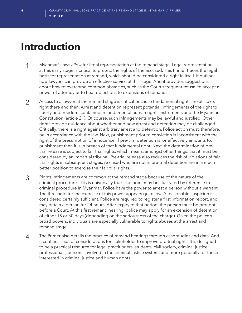# **Introduction**

- 1 Myanmar's laws *allow* for legal representation at the remand stage. Legal representation at this early stage is critical to protect the rights of the accused. This Primer traces the legal basis for representation at remand, which should be considered a right in itself. It outlines how lawyers can provide an effective service at this stage. And it provides suggestions about how to overcome common obstacles, such as the Court's frequent refusal to accept a power of attorney or to hear objections to extensions of remand.
- 2 Access to a lawyer at the remand stage is critical because fundamental rights are at stake, right there and then. Arrest and detention represent potential infringements of the right to liberty and freedom, contained in fundamental human rights instruments and the Myanmar Constitution (article 21). Of course, such infringements may be lawful and justified. Other rights provide guidance about whether and how arrest and detention may be challenged. Critically, there is a right against arbitrary arrest and detention. Police action must, therefore, be in accordance with the law. Next, punishment prior to conviction is inconsistent with the right of the presumption of innocence. If pre-trial detention is, or effectively amounts to, punishment then it is in breach of that fundamental right. Next, the determination of pretrial release is subject to fair trial rights, which means, amongst other things, that it must be considered by an impartial tribunal. Pre-trial release also reduces the risk of violations of fair trial rights in subsequent stages. Accused who are not in pre-trial detention are in a much better position to exercise their fair trial rights.
- 3 Rights infringements are common at the remand stage because of the nature of the criminal procedure. This is universally true. The point may be illustrated by reference to criminal procedure in Myanmar. Police have the power to arrest a person without a warrant. The threshold for the exercise of this power appears quite low. A reasonable suspicion is considered certainly sufficient. Police are required to register a first information report, and may detain a person for 24 hours. After expiry of that period, the person must be brought before a Court. At this first remand hearing, police may apply for an extension of detention of either 15 or 30 days (depending on the seriousness of the charge). Given the police's broad powers, individuals are especially vulnerable to rights abuses at the arrest and remand stage.
- 4 The Primer also details the practice of remand hearings through case studies and data. And it contains a set of considerations for stakeholder to improve pre-trial rights. It is designed to be a practical resource for legal practitioners, students, civil society, criminal justice professionals, persons involved in the criminal justice system, and more generally for those interested in criminal justice and human rights.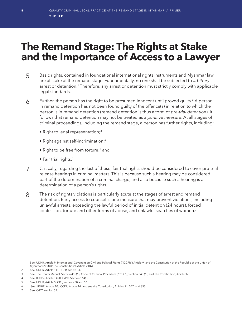# **The Remand Stage: The Rights at Stake and the Importance of Access to a Lawyer**

- 5 Basic rights, contained in foundational international rights instruments and Myanmar law, are at stake at the remand stage. Fundamentally, no one shall be subjected to *arbitrary* arrest or detention.<sup>1</sup> Therefore, any arrest or detention must strictly comply with applicable legal standards.
- $6$  Further, the person has the right to be presumed innocent until proved guilty.<sup>2</sup> A person in remand detention has not been found guilty of the offence(s) in relation to which the person is in remand detention (remand detention is thus a form of *pre-trial detention*). It follows that remand detention may not be treated as a *punitive measure*. At all stages of criminal proceedings, including the remand stage, a person has further rights, including:
	- Right to legal representation;<sup>3</sup>
	- Right against self-incrimination;4
	- Right to be free from torture;<sup>5</sup> and
	- Fair trial rights.<sup>6</sup>
- 7 Critically, regarding the last of these, fair trial rights should be considered to cover pre-trial release hearings in criminal matters. This is because such a hearing may be considered part of the determination of a criminal charge, and also because such a hearing is a determination of a person's rights.
- 8 The risk of rights violations is particularly acute at the stages of arrest and remand detention. Early access to counsel is one measure that may prevent violations, including unlawful arrests, exceeding the lawful period of initial detention (24 hours), forced confession, torture and other forms of abuse, and unlawful searches of women.7

<sup>1</sup> See: UDHR, Article 9; International Covenant on Civil and Political Rights ("ICCPR") Article 9; and the Constitution of the Republic of the Union of Myanmar (2008) ("The Constitution"), Article 21(b).

<sup>2</sup> See: UDHR, Article 11; ICCPR, Article 14.

<sup>3</sup> See: The Courts Manual, Section 455(1); Code of Criminal Procedure ("CrPC"), Section 340 (1); and The Constitution, Article 375

<sup>4</sup> See: ICCPR, Article 14(3); CrPC, Section 164(3).

<sup>5</sup> See: UDHR, Article 5; CRL, sections 80 and 56.

<sup>6</sup> See: UDHR, Article 10; ICCPR; Article 14; and see the Constitution, Articles 21, 347, and 353.

<sup>7</sup> See: CrPC, section 52.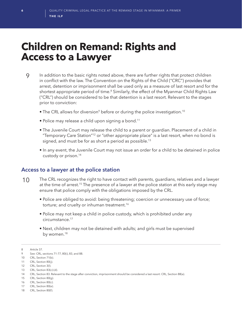# **Children on Remand: Rights and Access to a Lawyer**

- 9 In addition to the basic rights noted above, there are further rights that protect children in conflict with the law. The Convention on the Rights of the Child ("CRC") provides that arrest, detention or imprisonment shall be used only as a measure of last resort and for the shortest appropriate period of time.<sup>8</sup> Similarly, the effect of the Myanmar Child Rights Law ("CRL") should be considered to be that detention is a last resort. Relevant to the stages prior to conviction:
	- The CRL allows for diversion<sup>9</sup> before or during the police investigation.<sup>10</sup>
	- Police may release a child upon signing a bond.<sup>11</sup>
	- The Juvenile Court may release the child to a parent or guardian. Placement of a child in "Temporary Care Station"12 or "other appropriate place" is a last resort, when no bond is signed, and must be for as short a period as possible.<sup>13</sup>
	- In any event, the Juvenile Court may not issue an order for a child to be detained in police custody or prison.14

# **Access to a lawyer at the police station**

- 10 The CRL recognizes the right to have contact with parents, guardians, relatives and a lawyer at the time of arrest.<sup>15</sup> The presence of a lawyer at the police station at this early stage may ensure that police comply with the obligations imposed by the CRL.
	- Police are obliged to avoid: being threatening; coercion or unnecessary use of force; torture; and cruelty or inhuman treatment.<sup>16</sup>
	- Police may not keep a child in police custody, which is prohibited under any circumstance.17
	- Next, children may not be detained with adults; and girls must be supervised by women.<sup>18</sup>

<sup>8</sup> Article 37.

<sup>9</sup> See: CRL, sections 71-77, 80(i), 83, and 88.

<sup>10</sup> CRL, Section 71(b).

<sup>11</sup> CRL, Section 80(j).

<sup>12</sup> CRL, Section 3(l).

<sup>13</sup> CRL, Section 83(c)-(d).

<sup>14</sup> CRL, Section 83. Relevant to the stage after conviction, imprisonment should be considered a last resort: CRL, Section 88(a).

<sup>15</sup> CRL, Section 80(g).

<sup>16</sup> CRL, Section 80(c).

<sup>17</sup> CRL, Section 80(e).

<sup>18</sup> CRL, Section 80(f).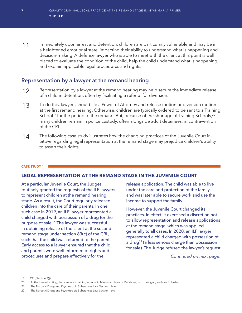11 Immediately upon arrest and detention, children are particularly vulnerable and may be in a heightened emotional state, impacting their ability to understand what is happening and decision-making. A defence lawyer who is able to meet with the client at this point is well placed to evaluate the condition of the child, help the child understand what is happening, and explain applicable legal procedures and rights.

## **Representation by a lawyer at the remand hearing**

- 12 Representation by a lawyer at the remand hearing may help secure the immediate release of a child in detention, often by facilitating a referral for diversion.
- 13 To do this, lawyers should file <sup>a</sup> Power of Attorney and release motion or diversion motion at the first remand hearing. Otherwise, children are typically ordered to be sent to a Training School<sup>19</sup> for the period of the remand. But, because of the shortage of Training Schools,<sup>20</sup> many children remain in police custody, often alongside adult detainees, in contravention of the CRL.
- 14 The following case study illustrates how the changing practices of the Juvenile Court in Sittwe regarding legal representation at the remand stage may prejudice children's ability to assert their rights.

#### **CASE STUDY 1**

#### **LEGAL REPRESENTATION AT THE REMAND STAGE IN THE JUVENILE COURT**

At a particular Juvenile Court, the Judges routinely granted the requests of the ILF lawyers to represent children at the remand hearing stage. As a result, the Court regularly released children into the care of their parents. In one such case in 2019, an ILF lawyer represented a child charged with possession of a drug for the purpose of sale.21 The lawyer was successful in obtaining release of the client at the second remand stage under section 83(c) of the CRL, such that the child was returned to the parents. Early access to a lawyer ensured that the child and parents were well-informed of rights and procedures and prepare effectively for the

release application. The child was able to live under the care and protection of the family, and was later able to secure work and use the income to support the family.

However, the Juvenile Court changed its practices. In effect, it exercised a discretion not to allow representation and release applications at the remand stage, which was applied generally to all cases. In 2020, an ILF lawyer represented a child charged with possession of a drug<sup>22</sup> (a less serious charge than possession for sale). The Judge refused the lawyer's request

*Continued on next page.*

<sup>19</sup> CRL, Section 3(j).

<sup>20</sup> At the time of writing, there were six training schools in Myanmar: three in Mandalay; two in Yangon; and one in Lashio.

<sup>21</sup> The Narcotic Drugs and Psychotropic Substances Law, Section 19(a).

<sup>22</sup> The Narcotic Drugs and Psychotropic Substances Law, Section 16(c).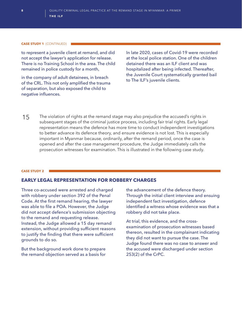#### **CASE STUDY 1** (CONTINUED)

to represent a juvenile client at remand, and did not accept the lawyer's application for release. There is no Training School in the area. The child remained in police custody for a month,

in the company of adult detainees, in breach of the CRL. This not only amplified the trauma of separation, but also exposed the child to negative influences.

In late 2020, cases of Covid-19 were recorded at the local police station. One of the children detained there was an ILF client and was hospitalized after being infected. Thereafter, the Juvenile Court systematically granted bail to The ILF's juvenile clients.

15 The violation of rights at the remand stage may also prejudice the accused's rights in subsequent stages of the criminal justice process, including fair trial rights. Early legal representation means the defence has more time to conduct independent investigations to better advance its defence theory, and ensure evidence is not lost. This is especially important in Myanmar because, ordinarily, after the remand period, once the case is opened and after the case management procedure, the Judge immediately calls the prosecution witnesses for examination. This is illustrated in the following case study.

#### **CASE STUDY 2**

### **EARLY LEGAL REPRESENTATION FOR ROBBERY CHARGES**

Three co-accused were arrested and charged with robbery under section 392 of the Penal Code. At the first remand hearing, the lawyer was able to file a POA. However, the Judge did not accept defence's submission objecting to the remand and requesting release. Instead, the Judge allowed a 15 day remand extension, without providing sufficient reasons to justify the finding that there were sufficient grounds to do so.

But the background work done to prepare the remand objection served as a basis for

the advancement of the defence theory. Through the initial client interview and ensuing independent fact investigation, defence identified a witness whose evidence was that a robbery did not take place.

At trial, this evidence, and the crossexamination of prosecution witnesses based thereon, resulted in the complainant indicating they did not want to pursue the case. The Judge found there was no case to answer and the accused were discharged under section 253(2) of the CrPC.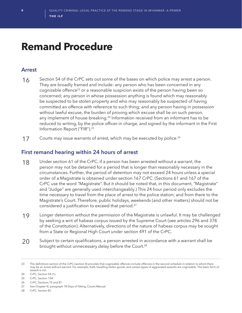# **Remand Procedure**

# **Arrest**

- 16 Section 54 of the CrPC sets out some of the bases on which police may arrest a person. They are broadly framed and include: any person who has been concerned in any cognizable offence<sup>23</sup> or a reasonable suspicion exists of the person having been so concerned; any person in whose possession anything is found which may reasonably be suspected to be stolen property and who may reasonably be suspected of having committed an offence with reference to such thing; and any person having in possession without lawful excuse, the burden of proving which excuse shall lie on such person, any implement of house-breaking.<sup>24</sup> Information received from an informant has to be reduced to writing, by the police officer-in charge, and signed by the informant in the First Information Report ("FIR").25
- 17 Courts may issue warrants of arrest, which may be executed by police.<sup>26</sup>

# **First remand hearing within 24 hours of arrest**

- 18 Under section 61 of the CrPC, if a person has been arrested without a warrant, the person may not be detained for a period that is longer than reasonably necessary in the circumstances. Further, the period of detention may not exceed 24 hours unless a special order of a Magistrate is obtained under section 167 CrPC. (Sections 61 and 167 of the CrPC use the word "Magistrate". But it should be noted that, in this document, "Magistrate" and "Judge" are generally used interchangeably.) This 24 hour period only excludes the time necessary to travel from the place of arrest to the police station; and from there to the Magistrate's Court. Therefore, public holidays, weekends (and other matters) should not be considered a justification to exceed that period.<sup>27</sup>
- 19 Longer detention without the permission of the Magistrate is unlawful. It may be challenged by seeking a writ of habeas corpus issued by the Supreme Court (see articles 296 and 378 of the Constitution). Alternatively, directions of the nature of habeas corpus may be sought from a State or Regional High Court under section 491 of the CrPC.
- 20 Subject to certain qualifications, a person arrested in accordance with a warrant shall be brought without unnecessary delay before the Court.<sup>28</sup>

<sup>23</sup> The definitions section of the CrPC (section 4) provides that cognizable offences include offences in the second schedule in relation to which there may be an arrest without warrant. For example, theft, handling stolen goods, and certain types of aggravated assaults are cognizable. The basic form of assault is not.

<sup>24</sup> CrPC, Section 54 (1).

<sup>25</sup> CrPC, Section 154.

<sup>26</sup> CrPC, Sections 75 and 81.

<sup>27</sup> See Chapter III, paragraph 18 Days of Sitting, Courts Manual.

<sup>28</sup> CrPC, Section 81.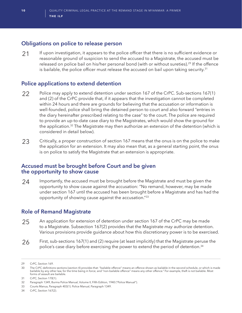# **Obligations on police to release person**

21 If upon investigation, it appears to the police officer that there is no sufficient evidence or reasonable ground of suspicion to send the accused to a Magistrate, the accused must be released on police bail on his/her personal bond (with or without sureties).<sup>29</sup> If the offence is bailable, the police officer must release the accused on bail upon taking security.<sup>31</sup>

# **Police applications to extend detention**

- 22 Police may apply to extend detention under section 167 of the CrPC. Sub-sections 167(1) and (2) of the CrPC provide that, if it appears that the investigation cannot be completed within 24 hours and there are grounds for believing that the accusation or information is well-founded, police shall bring the detained person to court and also forward "entries in the diary hereinafter prescribed relating to the case" to the court. The police are required to provide an up-to-date case diary to the Magistrates, which would show the ground for the application.<sup>32</sup> The Magistrate may then authorize an extension of the detention (which is considered in detail below).
- 23 Critically, a proper construction of section 167 means that the onus is on the police to make the application for an extension. It may also mean that, as a general starting point, the onus is on police to satisfy the Magistrate that an extension is appropriate.

## **Accused must be brought before Court and be given the opportunity to show cause**

24 Importantly, the accused must be brought before the Magistrate and must be given the opportunity to show cause against the accusation: "No remand, however, may be made under section 167 until the accused has been brought before a Magistrate and has had the opportunity of showing cause against the accusation."33

# **Role of Remand Magistrate**

- 25 An application for extension of detention under section 167 of the CrPC may be made to a Magistrate. Subsection 167(2) provides that the Magistrate *may* authorize detention. Various provisions provide guidance about how this discretionary power is to be exercised.
- 26 First, sub-sections 167(1) and (2) require (at least implicitly) that the Magistrate peruse the police's case diary before exercising the power to extend the period of detention.34

31 CrPC, Section 170(1).

34 CrPC, Section 167(2).

<sup>29</sup> CrPC, Section 169.

<sup>30</sup>  The CrPC definitions sections (section 4) provides that: "bailable offence" means an offence shown as bailable in the second schedule, or which is made bailable by any other law, for the time being in force; and "non-bailable offence" means any other offence." For example, theft is not bailable. Most forms of assault are bailable.

<sup>32</sup> Paragraph 1349, Burma Police Manual, Volume II, Fifth Edition, 1940 ("Police Manual").

<sup>33</sup> Courts Manua, Paragraph 403(1). Police Manual, Paragraph 1349.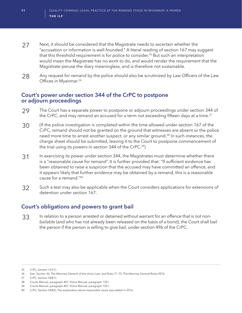- 27 Next, it should be considered that the Magistrate needs to ascertain whether the "accusation or information is well-founded." A literal reading of section 167 may suggest that this threshold requirement is for police to consider.<sup>35</sup> But such an interpretation would mean the Magistrate has no work to do, and would render the requirement that the Magistrate peruse the diary meaningless, and is therefore not sustainable.
- 28 Any request for remand by the police should also be scrutinized by Law Officers of the Law Offices in Myanmar.<sup>36</sup>

## **Court's power under section 344 of the CrPC to postpone or adjourn proceedings**

- 29 The Court has a separate power to postpone or adjourn proceedings under section 344 of the CrPC, and may remand an accused for a term not exceeding fifteen days at a time.<sup>37</sup>
- 30 (If the police investigation is completed within the time allowed under section 167 of the CrPC, remand should not be granted on the ground that witnesses are absent or the police need more time to arrest another suspect, or any similar ground.<sup>38</sup> In such instances, the charge sheet should be submitted, leaving it to the Court to postpone commencement of the trial using its powers in section 344 of the CrPC.<sup>39</sup>)
- 31 In exercising its power under section 344, the Magistrates must determine whether there is a "reasonable cause for remand". It is further provided that: "If sufficient evidence has been obtained to raise a suspicion that the accused may have committed an offence, and it appears likely that further evidence may be obtained by a remand, this is a reasonable cause for a remand."40
- 32 Such a test may also be applicable when the Court considers applications for extensions of detention under section 167.

# **Court's obligations and powers to grant bail**

33 In relation to a person arrested or detained without warrant for an offence that is *not nonbailable* (and who has not already been released on the basis of a bond), the Court shall bail the person if the person is willing to give bail, under section 496 of the CrPC.

37 CrPC, Section 344(1).

<sup>35</sup> CrPC, Section 167(1).

<sup>36</sup> See: Section 36, The Attorney-General of the Union Law; and Rules 71-73, The Attorney General Rules 2016.

<sup>38</sup> Courts Manual, paragraph 407. Police Manual, paragraph 1351.

<sup>39</sup> Courts Manual, paragraph 407. Police Manual, paragraph 1351..

<sup>40</sup> CrPC, Section 344(2). The explanation about reasonable cause was added in 2016.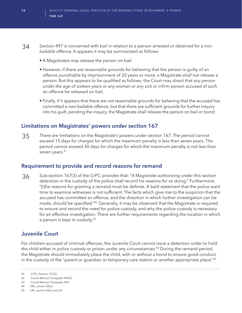- 34Section 497 is concerned with bail in relation to a person arrested or detained for a *nonbailable* offence. It appears it may be summarized as follows:
	- A Magistrates *may* release the person on bail.
	- However, if there are reasonable grounds for believing that the person is guilty of an offence punishable by imprisonment of 20 years or more, a Magistrate *shall* not release a person. But this appears to be qualified as follows: the Court may direct that *any person under the age of sixteen years or any woman or any sick or infirm person accused* of such an offence be released on bail.
	- Finally, if it appears that there are not reasonable grounds for believing that the accused has committed a non-bailable offence, but that there are sufficient grounds for further inquiry into his guilt, pending the inquiry, the Magistrate *shall* release the person on bail or bond.

## **Limitations on Magistrates' powers under section 167**

35 There are limitations on the Magistrate's powers under section 167. The period cannot exceed 15 days for charges for which the maximum penalty is less than seven years. The period cannot exceed 30 days for charges for which the maximum penalty is not less than seven years.<sup>41</sup>

# **Requirement to provide and record reasons for remand**

36 Sub-section 167(3) of the CrPC provides that: "A Magistrate authorizing under this section detention in the custody of the police shall record his reasons for so doing." Furthermore, "[t]he reasons for granting a remand must be definite. A bald statement that the police want time to examine witnesses is not sufficient. The facts which give rise to the suspicion that the accused has committed an offence, and the direction in which further investigation can be made, should be specified."42 Generally, it may be observed that the Magistrate is required to ensure and record the need for police custody, and why the police custody is necessary for an effective investigation. There are further requirements regarding the location in which a person is kept in custody.43

# **Juvenile Court**

For children accused of criminal offences, the Juvenile Court cannot issue a detention order to hold the child either in police custody or prison under any circumstances.<sup>44</sup> During the remand period, the Magistrate should immediately place the child, with or without a bond to ensure good conduct, in the custody of the "parent or guardian or temporary care station or another appropriate place".45

42 Courts Manual, Paragraph 405(2).

44 CRL, section 83(e).

<sup>41</sup> CrPC, Section 167(2).

<sup>43</sup> Courts Manual, Paragraph 404.

<sup>45</sup> CRL, section 83(c) and (d)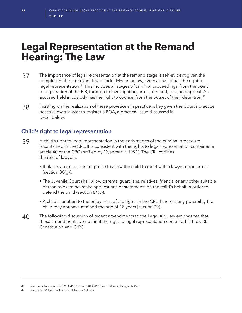# **Legal Representation at the Remand Hearing: The Law**

- 37 The importance of legal representation at the remand stage is self-evident given the complexity of the relevant laws. Under Myanmar law, every accused has the right to legal representation.46 This includes all stages of criminal proceedings, from the point of registration of the FIR, through to investigation, arrest, remand, trial, and appeal. An accused held in custody has the right to counsel from the outset of their detention.<sup>47</sup>
- 38 Insisting on the realization of these provisions in practice is key given the Court's practice not to allow a lawyer to register a POA, a practical issue discussed in detail below.

# **Child's right to legal representation**

- 39 A child's right to legal representation in the early stages of the criminal procedure is contained in the CRL. It is consistent with the rights to legal representation contained in article 40 of the CRC (ratified by Myanmar in 1991). The CRL codifies the role of lawyers.
	- It places an obligation on police to allow the child to meet with a lawyer upon arrest (section 80(g)).
	- The Juvenile Court shall allow parents, guardians, relatives, friends, or any other suitable person to examine, make applications or statements on the child's behalf in order to defend the child (section 84(c)).
	- A child is entitled to the enjoyment of the rights in the CRL if there is any possibility the child may not have attained the age of 18 years (section 79).
- 40 The following discussion of recent amendments to the Legal Aid Law emphasizes that these amendments do not limit the right to legal representation contained in the CRL, Constitution and CrPC.

47 See: page 32, Fair Trial Guidebook for Law Officers.

<sup>46</sup> See: Constitution, Article 375; CrPC, Section 340, CrPC; Courts Manual, Paragraph 455.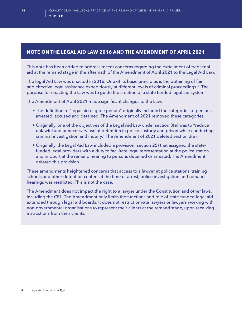### **NOTE ON THE LEGAL AID LAW 2016 AND THE AMENDMENT OF APRIL 2021**

This note has been added to address recent concerns regarding the curtailment of free legal aid at the remand stage in the aftermath of the Amendment of April 2021 to the Legal Aid Law.

The legal Aid Law was enacted in 2016. One of its basic principles is the obtaining of fair and effective legal assistance expeditiously at different levels of criminal proceedings.<sup>48</sup> The purpose for enacting the Law was to guide the creation of a state funded legal aid system.

The Amendment of April 2021 made significant changes to the Law.

- The definition of "legal aid eligible person" originally included the categories of persons arrested, accused and detained. The Amendment of 2021 removed these categories.
- Originally, one of the objectives of the Legal Aid Law under section 3(e) was to "reduce unlawful and unnecessary use of detention in police custody and prison while conducting criminal investigation and inquiry." The Amendment of 2021 deleted section 3(e).
- Originally, the Legal Aid Law included a provision (section 25) that assigned the statefunded legal providers with a duty to facilitate legal representation at the police station and in Court at the remand hearing to persons detained or arrested. The Amendment deleted this provision.

These amendments heightened concerns that access to a lawyer at police stations, training schools and other detention centers at the time of arrest, police investigation and remand hearings was restricted. This is not the case.

The Amendment does not impact the right to a lawyer under the Constitution and other laws, including the CRL. The Amendment only limits the functions and role of state-funded legal aid extended through legal aid boards. It does not restrict private lawyers or lawyers working with non-governmental organisations to represent their clients at the remand stage, upon receiving instructions from their clients.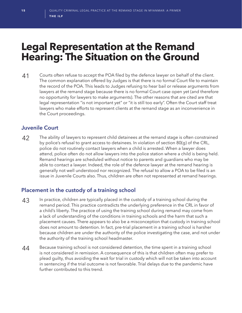# **Legal Representation at the Remand Hearing: The Situation on the Ground**

41 Courts often refuse to accept the POA filed by the defence lawyer on behalf of the client. The common explanation offered by Judges is that there is no formal Court file to maintain the record of the POA. This leads to Judges refusing to hear bail or release arguments from lawyers at the remand stage because there is no formal Court case open yet (and therefore no opportunity for lawyers to make arguments). The other reasons that are cited are that legal representation "is not important yet" or "it is still too early". Often the Court staff treat lawyers who make efforts to represent clients at the remand stage as an inconvenience in the Court proceedings.

# **Juvenile Court**

42 The ability of lawyers to represent child detainees at the remand stage is often constrained by police's refusal to grant access to detainees. In violation of section 80(g) of the CRL, police do not routinely contact lawyers when a child is arrested. When a lawyer does attend, police often do not allow lawyers into the police station where a child is being held. Remand hearings are scheduled without notice to parents and guardians who may be able to contact a lawyer. Indeed, the role of the defence lawyer at the remand hearing is generally not well understood nor recognized. The refusal to allow a POA to be filed is an issue in Juvenile Courts also. Thus, children are often not represented at remand hearings.

# **Placement in the custody of a training school**

- 43 In practice, children are typically placed in the custody of a training school during the remand period. This practice contradicts the underlying preference in the CRL in favor of a child's liberty. The practice of using the training school during remand may come from a lack of understanding of the conditions in training schools and the harm that such a placement causes. There appears to also be a misconception that custody in training school does not amount to detention. In fact, pre-trial placement in a training school is harsher because children are under the authority of the police investigating the case, and not under the authority of the training school headmaster.
- 44 Because training school is not considered detention, the time spent in a training school is not considered in remission. A consequence of this is that children often may prefer to plead guilty, thus avoiding the wait for trial in custody which will not be taken into account in sentencing if the trial outcome is not favorable. Trial delays due to the pandemic have further contributed to this trend.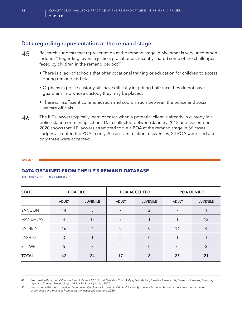# **Data regarding representation at the remand stage**

- 45 Research suggests that representation at the remand stage in Myanmar is very uncommon indeed.49 Regarding juvenile justice, practitioners recently shared some of the challenges faced by children in the remand period:<sup>50</sup>
	- There is a lack of schools that offer vocational training or education for children to access during remand and trial.
	- Orphans in police custody still have difficulty in getting bail since they do not have guardians into whose custody they may be placed.
	- There is insufficient communication and coordination between the police and social welfare officials.
- 46 The ILF's lawyers typically learn of cases when a potential client is already in custody in a police station or training school. Data collected between January 2018 and December 2020 shows that ILF lawyers attempted to file a POA at the remand stage in 66 cases. Judges accepted the POA in only 20 cases. In relation to juveniles, 24 POA were filed and only three were accepted.

#### **TABLE 1**

#### **DATA OBTAINED FROM THE ILF'S REMAND DATABASE**

JANUARY 2018 – DECEMBER 2020

| <b>STATE</b>    | <b>POA FILED</b> |                 | POA ACCEPTED   |                 | <b>POA DENIED</b> |                 |
|-----------------|------------------|-----------------|----------------|-----------------|-------------------|-----------------|
|                 | <b>ADULT</b>     | <b>JUVENILE</b> | <b>ADULT</b>   | <b>JUVENILE</b> | <b>ADULT</b>      | <b>JUVENILE</b> |
| YANGON          | 14               | 3               | 7              | $\overline{2}$  | $\overline{7}$    |                 |
| <b>MANDALAY</b> | $\overline{4}$   | 13              | 3              |                 |                   | 12              |
| <b>PATHEIN</b>  | 16               | $\overline{4}$  | $\Omega$       | 0               | 16                | 4               |
| LASHIO          | 3                |                 | $\mathfrak{D}$ | 0               |                   |                 |
| <b>SITTWE</b>   | 5                | 3               | 5              | 0               | $\Omega$          | 3               |
| <b>TOTAL</b>    | 42               | 24              | 17             | 3               | 25                | 21              |

<sup>49</sup> See: Justice Base, *Legal Practice Brief 5: Remand*, 2019, p 4. See also: Tharthi Myay Foundation, Baseline Research by Myanmar Lawyers, Everyday Injustice: *Criminal Proceedings and Fair Trials in Myanmar*, 2020.

<sup>50</sup> International Bridges to Justice, *Overcoming Challenges in Juvenile Criminal Justice System in Myanmar: Report of the virtual roundtable on experiences and practices from access to justice practitioners*, 2020.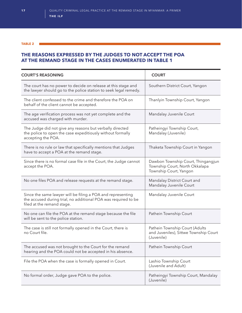#### **TABLE 2**

### **THE REASONS EXPRESSED BY THE JUDGES TO NOT ACCEPT THE POA AT THE REMAND STAGE IN THE CASES ENUMERATED IN TABLE 1**

| <b>COURT'S REASONING</b>                                                                                                                                    | <b>COURT</b>                                                                                   |
|-------------------------------------------------------------------------------------------------------------------------------------------------------------|------------------------------------------------------------------------------------------------|
| The court has no power to decide on release at this stage and<br>the lawyer should go to the police station to seek legal remedy.                           | Southern District Court, Yangon                                                                |
| The client confessed to the crime and therefore the POA on<br>behalf of the client cannot be accepted.                                                      | Thanlyin Township Court, Yangon                                                                |
| The age verification process was not yet complete and the<br>accused was charged with murder.                                                               | Mandalay Juvenile Court                                                                        |
| The Judge did not give any reasons but verbally directed<br>the police to open the case expeditiously without formally<br>accepting the POA.                | Patheingyi Township Court,<br>Mandalay (Juvenile)                                              |
| There is no rule or law that specifically mentions that Judges<br>have to accept a POA at the remand stage.                                                 | Thaketa Township Court in Yangon                                                               |
| Since there is no formal case file in the Court, the Judge cannot<br>accept the POA.                                                                        | Dawbon Township Court, Thingangjun<br>Township Court, North Okkalapa<br>Township Court, Yangon |
| No one files POA and release requests at the remand stage.                                                                                                  | Mandalay District Court and<br>Mandalay Juvenile Court                                         |
| Since the same lawyer will be filing a POA and representing<br>the accused during trial, no additional POA was required to be<br>filed at the remand stage. | Mandalay Juvenile Court                                                                        |
| No one can file the POA at the remand stage because the file<br>will be sent to the police station.                                                         | Pathein Township Court                                                                         |
| The case is still not formally opened in the Court, there is<br>no Court file.                                                                              | Pathein Township Court (Adults<br>and Juveniles), Sittwe Township Court<br>(Juvenile)          |
| The accused was not brought to the Court for the remand<br>hearing and the POA could not be accepted in his absence.                                        | Pathein Township Court                                                                         |
| File the POA when the case is formally opened in Court.                                                                                                     | Lashio Township Court<br>(Juvenile and Adult)                                                  |
| No formal order, Judge gave POA to the police.                                                                                                              | Patheingyi Township Court, Mandalay<br>(Juvenile)                                              |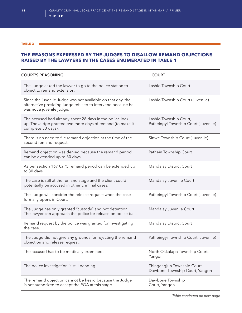#### **TABLE 3**

### **THE REASONS EXPRESSED BY THE JUDGES TO DISALLOW REMAND OBJECTIONS RAISED BY THE LAWYERS IN THE CASES ENUMERATED IN TABLE 1**

| <b>COURT'S REASONING</b>                                                                                                                                | <b>COURT</b>                                                   |  |
|---------------------------------------------------------------------------------------------------------------------------------------------------------|----------------------------------------------------------------|--|
| The Judge asked the lawyer to go to the police station to<br>object to remand extension.                                                                | Lashio Township Court                                          |  |
| Since the juvenile Judge was not available on that day, the<br>alternative presiding judge refused to intervene because he<br>was not a juvenile judge. | Lashio Township Court (Juvenile)                               |  |
| The accused had already spent 28 days in the police lock-<br>up. The Judge granted two more days of remand (to make it<br>complete 30 days).            | Lashio Township Court,<br>Patheingyi Township Court (Juvenile) |  |
| There is no need to file remand objection at the time of the<br>second remand request.                                                                  | Sittwe Township Court (Juvenile)                               |  |
| Remand objection was denied because the remand period<br>can be extended up to 30 days.                                                                 | Pathein Township Court                                         |  |
| As per section 167 CrPC remand period can be extended up<br>to 30 days.                                                                                 | Mandalay District Court                                        |  |
| The case is still at the remand stage and the client could<br>potentially be accused in other criminal cases.                                           | Mandalay Juvenile Court                                        |  |
| The Judge will consider the release request when the case<br>formally opens in Court.                                                                   | Patheingyi Township Court (Juvenile)                           |  |
| The Judge has only granted "custody" and not detention.<br>The lawyer can approach the police for release on police bail.                               | Mandalay Juvenile Court                                        |  |
| Remand request by the police was granted for investigating<br>the case.                                                                                 | Mandalay District Court                                        |  |
| The Judge did not give any grounds for rejecting the remand<br>objection and release request.                                                           | Patheingyi Township Court (Juvenile)                           |  |
| The accused has to be medically examined.                                                                                                               | North Okkalapa Township Court,<br>Yangon                       |  |
| The police investigation is still pending.                                                                                                              | Thingangjun Township Court,<br>Dawbone Township Court, Yangon  |  |
| The remand objection cannot be heard because the Judge<br>is not authorized to accept the POA at this stage.                                            | Dawbone Township<br>Court, Yangon                              |  |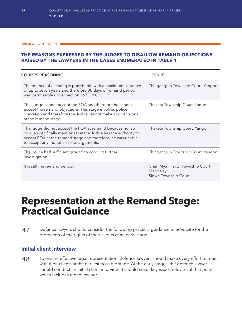#### **TABLE 3** (CONTINUED)

### **THE REASONS EXPRESSED BY THE JUDGES TO DISALLOW REMAND OBJECTIONS RAISED BY THE LAWYERS IN THE CASES ENUMERATED IN TABLE 1**

| <b>COURT'S REASONING</b>                                                                                                                                                                                                                  | <b>COURT</b>                                                           |
|-------------------------------------------------------------------------------------------------------------------------------------------------------------------------------------------------------------------------------------------|------------------------------------------------------------------------|
| The offence of cheating is punishable with a maximum sentence<br>of up to seven years and therefore 30 days of remand period<br>was permissible under section 167 CrPC.                                                                   | Thingangjun Township Court, Yangon                                     |
| The Judge cannot accept the POA and therefore he cannot<br>accept the remand objections. This stage involves police<br>discretion and therefore the Judge cannot make any decisions<br>at the remand stage.                               | Thaketa Township Court, Yangon                                         |
| The judge did not accept the POA at remand because no law<br>or rule specifically mentions that the Judge has the authority to<br>accept POA at the remand stage and therefore, he was unable<br>to accept any motions or oral arguments. | Thaketa Township Court, Yangon                                         |
| The police had sufficient ground to conduct further<br>investigation.                                                                                                                                                                     | Thingangjun Township Court, Yangon                                     |
| It is still the remand period.                                                                                                                                                                                                            | Chan Mya Thar Zi Township Court,<br>Mandalay,<br>Sittwe Township Court |

# **Representation at the Remand Stage: Practical Guidance**

47 Defence lawyers should consider the following practical guidance to advocate for the protection of the rights of their clients at an early stage.

### **Initial client interview**

48 To ensure effective legal representation, defence lawyers should make every effort to meet with their clients at the earliest possible stage. At the early stages, the defence lawyer should conduct an initial client interview. It should cover key issues relevant at that point, which includes the following: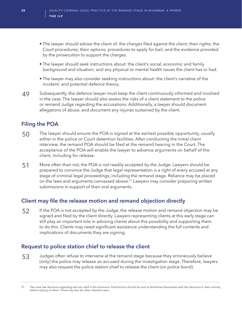- The lawyer should advise the client of: the charges filed against the client; their rights; the Court procedures; their options; procedures to apply for bail; and the evidence provided by the prosecution to support the charges.
- The lawyer should seek instructions about: the client's social, economic and family background and situation; and any physical or mental health issues the client has or had.
- The lawyer may also consider seeking instructions about: the client's narrative of the incident; and potential defence theory.
- 49 Subsequently, the defence lawyer must keep the client continuously informed and involved in the case. The lawyer should also assess the risks of a client statement to the police or remand Judge regarding the accusations. Additionally, a lawyer should document allegations of abuse, and document any injuries sustained by the client.

# **Filing the POA**

- 50 The lawyer should ensure the POA is signed at the earliest possible opportunity, usually either in the police or Court detention facilities. After conducting the initial client interview, the remand POA should be filed at the remand hearing in the Court. The acceptance of the POA will enable the lawyer to advance arguments on behalf of the client, including for release.
- 51 More often than not, the POA is not readily accepted by the Judge. Lawyers should be prepared to convince the Judge that legal representation is a right of every accused at any stage of criminal legal proceedings, including the remand stage. Reliance may be placed on the laws and arguments canvassed above.<sup>51</sup> Lawyers may consider preparing written submissions in support of their oral arguments.

# **Client may file the release motion and remand objection directly**

52 If the POA is not accepted by the Judge, the release motion and remand objection may be signed and filed by the client directly. Lawyers representing clients at this early stage can still play an important role in advising clients about this possibility and supporting them to do this. Clients may need significant assistance understanding the full contents and implications of documents they are signing.

# **Request to police station chief to release the client**

53 Judges often refuse to intervene at the remand stage because they erroneously believe (only) the police may release an accused during the investigation stage. Therefore, lawyers may also request the police station chief to release the client (on police bond).

<sup>51</sup> Two case law decisions regarding bail are cited in the Annexure. Practitioners should be sure to familiarise themselves with the decisions in their entirety before relying on them. There may also be other relevant cases.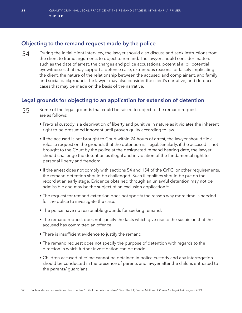# **Objecting to the remand request made by the police**

54 During the initial client interview, the lawyer should also discuss and seek instructions from the client to frame arguments to object to remand. The lawyer should consider matters such as the date of arrest, the charges and police accusations, potential alibi, potential eyewitnesses that may support a defence case, extraneous reasons for falsely implicating the client, the nature of the relationship between the accused and complainant, and family and social background. The lawyer may also consider the client's narrative; and defence cases that may be made on the basis of the narrative.

# **Legal grounds for objecting to an application for extension of detention**

- 55 Some of the legal grounds that could be raised to object to the remand request are as follows:
	- Pre-trial custody is a deprivation of liberty and punitive in nature as it violates the inherent right to be presumed innocent until proven guilty according to law.
	- If the accused is not brought to Court within 24 hours of arrest, the lawyer should file a release request on the grounds that the detention is illegal. Similarly, if the accused is not brought to the Court by the police at the designated remand hearing date, the lawyer should challenge the detention as illegal and in violation of the fundamental right to personal liberty and freedom.
	- If the arrest does not comply with sections 54 and 154 of the CrPC, or other requirements, the remand detention should be challenged. Such illegalities should be put on the record at an early stage. Evidence obtained through an unlawful detention may not be admissible and may be the subject of an exclusion application.<sup>52</sup>
	- The request for remand extension does not specify the reason why more time is needed for the police to investigate the case.
	- The police have no reasonable grounds for seeking remand.
	- The remand request does not specify the facts which give rise to the suspicion that the accused has committed an offence.
	- There is insufficient evidence to justify the remand.
	- The remand request does not specify the purpose of detention with regards to the direction in which further investigation can be made.
	- Children accused of crime cannot be detained in police custody and any interrogation should be conducted in the presence of parents and lawyer after the child is entrusted to the parents/ guardians.

52 Such evidence is sometimes described as "fruit of the poisonous tree". See: The ILF, *Pretrial Motions: A Primer for Legal Aid Lawyers*, 2021.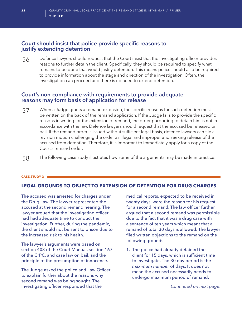## **Court should insist that police provide specific reasons to justify extending detention**

56 Defence lawyers should request that the Court insist that the investigating officer provides reasons to further detain the client. Specifically, they should be required to specify what remains to be done that would justify detention. This means police should also be required to provide information about the stage and direction of the investigation. Often, the investigation can proceed and there is no need to extend detention.

### **Court's non-compliance with requirements to provide adequate reasons may form basis of application for release**

- 57 When <sup>a</sup> Judge grants <sup>a</sup> remand extension, the specific reasons for such detention must be written on the back of the remand application. If the Judge fails to provide the specific reasons in writing for the extension of remand, the order purporting to detain him is not in accordance with the law. Defence lawyers should request that the accused be released on bail. If the remand order is issued without sufficient legal basis, defence lawyers can file a revision motion challenging the order as illegal and improper and seeking release of the accused from detention. Therefore, it is important to immediately apply for a copy of the Court's remand order.
- 58 The following case study illustrates how some of the arguments may be made in practice.

#### **CASE STUDY 3**

### **LEGAL GROUNDS TO OBJECT TO EXTENSION OF DETENTION FOR DRUG CHARGES**

The accused was arrested for charges under the Drug Law. The lawyer represented the accused at the second remand hearing. The lawyer argued that the investigating officer had had adequate time to conduct the investigation. Further, during the pandemic, the client should not be sent to prison due to the increased risk to his health.

The lawyer's arguments were based on section 403 of the Court Manual, section 167 of the CrPC, and case law on bail, and the principle of the presumption of innocence.

The Judge asked the police and Law Officer to explain further about the reasons why second remand was being sought. The investigating officer responded that the

medical reports, expected to be received in twenty days, were the reason for his request for a second remand. The law officer further argued that a second remand was permissible due to the fact that it was a drug case with a sentence of ten years which meant that a remand of total 30 days is allowed. The lawyer filed written objections to the remand on the following grounds:

1. The police had already detained the client for 15 days, which is sufficient time to investigate. The 30 day period is the *maximum number* of days. It does not mean the accused necessarily needs to undergo maximum period of remand.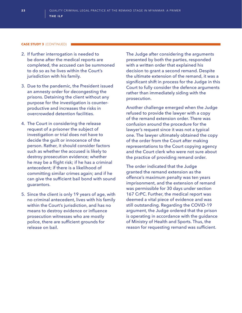#### **CASE STUDY 3** (CONTINUED)

- 2. If further interrogation is needed to be done after the medical reports are completed, the accused can be summoned to do so as he lives within the Court's jurisdiction with his family.
- 3. Due to the pandemic, the President issued an amnesty order for decongesting the prisons. Detaining the client without any purpose for the investigation is counterproductive and increases the risks in overcrowded detention facilities.
- 4. The Court in considering the release request of a prisoner the subject of investigation or trial does not have to decide the guilt or innocence of the person. Rather, it should consider factors such as whether the accused is likely to destroy prosecution evidence; whether he may be a flight risk; if he has a criminal antecedent; if there is a likelihood of committing similar crimes again; and if he can give the sufficient bail bond with sound guarantors.
- 5. Since the client is only 19 years of age, with no criminal antecedent, lives with his family within the Court's jurisdiction, and has no means to destroy evidence or influence prosecution witnesses who are mostly police, there are sufficient grounds for release on bail.

The Judge after considering the arguments presented by both the parties, responded with a written order that explained his decision to grant a second remand. Despite the ultimate extension of the remand, it was a significant shift in process for the Judge in this Court to fully consider the defence arguments rather than immediately siding with the prosecution.

Another challenge emerged when the Judge refused to provide the lawyer with a copy of the remand extension order. There was confusion around the procedure for the lawyer's request since it was not a typical one. The lawyer ultimately obtained the copy of the order from the Court after making representations to the Court copying agency and the Court clerk who were not sure about the practice of providing remand order.

The order indicated that the Judge granted the remand extension as the offence's maximum penalty was ten years imprisonment, and the extension of remand was permissible for 30 days under section 167 CrPC. Further, the medical report was deemed a vital piece of evidence and was still outstanding. Regarding the COVID-19 argument, the Judge ordered that the prison is operating in accordance with the guidance of Ministry of Health and Sports. Thus, the reason for requesting remand was sufficient.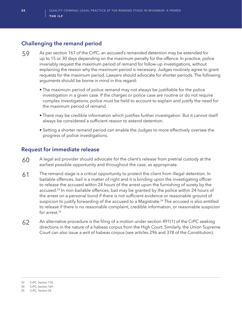# **Challenging the remand period**

- 59 As per section 167 of the CrPC, an accused's remanded detention may be extended for up to 15 or 30 days depending on the maximum penalty for the offence. In practice, police invariably request the maximum period of remand for follow-up investigations, without explaining the reason why the maximum period is necessary. Judges routinely agree to grant requests for the maximum period. Lawyers should advocate for shorter periods. The following arguments should be borne in mind in this regard:
	- The maximum period of police remand may not always be justifiable for the police investigation in a given case. If the charges or police case are routine or do not require complex investigations, police must be held to account to explain and justify the need for the maximum period of remand.
	- There may be credible information which justifies further investigation. But it cannot itself always be considered a sufficient reason to extend detention.
	- Setting a shorter remand period can enable the Judges to more effectively oversee the progress of police investigations.

# **Request for immediate release**

- 60 A legal aid provider should advocate for the client's release from pretrial custody at the earliest possible opportunity and throughout the case, as appropriate.
- 61 The remand stage is a critical opportunity to protect the client from illegal detention. In bailable offences, bail is a matter of right and it is binding upon the investigating officer to release the accused within 24 hours of the arrest upon the furnishing of surety by the accused.<sup>53</sup> In non-bailable offences, bail may be granted by the police within 24 hours of the arrest on a personal bond if there is not sufficient evidence or reasonable ground of suspicion to justify forwarding of the accused to a Magistrate.<sup>54</sup> The accused is also entitled to release if there is no reasonable complaint, credible information, or reasonable suspicion for arrest.<sup>55</sup>
- 62 An alternative procedure is the filing of a motion under section 491(1) of the CrPC seeking directions in the nature of a habeas corpus from the High Court. Similarly, the Union Supreme Court can also issue a writ of habeas corpus (see articles 296 and 378 of the Constitution).

<sup>53</sup> CrPC, Section 170.

<sup>54</sup> CrPC, Section 169.

<sup>55</sup> CrPC, Section 54.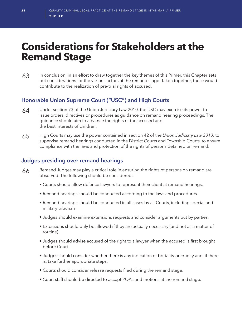# **Considerations for Stakeholders at the Remand Stage**

63 In conclusion, in an effort to draw together the key themes of this Primer, this Chapter sets out considerations for the various actors at the remand stage. Taken together, these would contribute to the realization of pre-trial rights of accused.

# **Honorable Union Supreme Court ("USC") and High Courts**

- 64 Under section 73 of the Union Judiciary Law 2010, the USC may exercise its power to issue orders, directives or procedures as guidance on remand hearing proceedings. The guidance should aim to advance the rights of the accused and the best interests of children.
- 65 High Courts may use the power contained in section 42 of the *Union Judiciary Law 2010,* to supervise remand hearings conducted in the District Courts and Township Courts, to ensure compliance with the laws and protection of the rights of persons detained on remand.

# **Judges presiding over remand hearings**

- 66 Remand Judges may play a critical role in ensuring the rights of persons on remand are observed. The following should be considered:
	- Courts should allow defence lawyers to represent their client at remand hearings.
	- Remand hearings should be conducted according to the laws and procedures.
	- Remand hearings should be conducted in all cases by all Courts, including special and military tribunals.
	- Judges should examine extensions requests and consider arguments put by parties.
	- Extensions should only be allowed if they are actually necessary (and not as a matter of routine).
	- Judges should advise accused of the right to a lawyer when the accused is first brought before Court.
	- Judges should consider whether there is any indication of brutality or cruelty and, if there is, take further appropriate steps.
	- Courts should consider release requests filed during the remand stage.
	- Court staff should be directed to accept POAs and motions at the remand stage.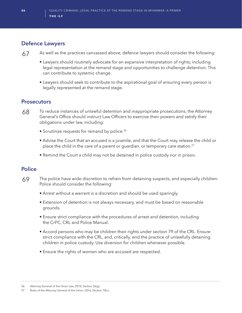# **Defence Lawyers**

- 67 As well as the practices canvassed above, defence lawyers should consider the following:
	- Lawyers should routinely advocate for an expansive interpretation of rights, including legal representation at the remand stage and opportunities to challenge detention. This can contribute to systemic change.
	- Lawyers should seek to contribute to the aspirational goal of ensuring every person is legally represented at the remand stage.

# **Prosecutors**

- 68 To reduce instances of unlawful detention and inappropriate prosecutions, the Attorney General's Office should instruct Law Officers to exercise their powers and satisfy their obligations under law, including:
	- Scrutinize requests for remand by police.<sup>56</sup>
	- Advise the Court that an accused is a juvenile, and that the Court may release the child or place the child in the care of a parent or guardian, or temporary care station.<sup>57</sup>
	- Remind the Court a child may not be detained in police custody nor in prison.

# **Police**

- 69 The police have wide discretion to refrain from detaining suspects, and especially children. Police should consider the following:
	- Arrest without a warrant is a discretion and should be used sparingly.
	- Extension of detention is not always necessary, and must be based on reasonable grounds.
	- Ensure strict compliance with the procedures of arrest and detention, including the CrPC, CRL and Police Manual.
	- Accord persons who may be children their rights under section 79 of the CRL. Ensure strict compliance with the CRL, and, critically, end the practice of unlawfully detaining children in police custody. Use diversion for children whenever possible.
	- Ensure the rights of women who are accused are respected.

<sup>56</sup> Attorney-General of the Union Law, 2010, Section 36(g).

<sup>57</sup> Rules of the Attorney General of the Union, 2016, Section 70(c).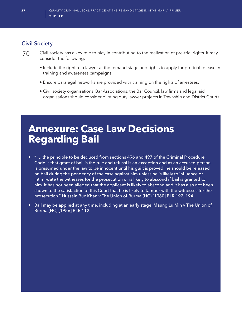# **Civil Society**

- 70 Civil society has a key role to play in contributing to the realization of pre-trial rights. It may consider the following:
	- Include the right to a lawyer at the remand stage and rights to apply for pre-trial release in training and awareness campaigns.
	- Ensure paralegal networks are provided with training on the rights of arrestees.
	- Civil society organisations, Bar Associations, the Bar Council, law firms and legal aid organisations should consider piloting duty lawyer projects in Township and District Courts.

# **Annexure: Case Law Decisions Regarding Bail**

- " … the principle to be deduced from sections 496 and 497 of the Criminal Procedure Code is that grant of bail is the rule and refusal is an exception and as an accused person is presumed under the law to be innocent until his guilt is proved, he should be released on bail during the pendency of the case against him unless he is likely to influence or intimi-date the witnesses for the prosecution or is likely to abscond if bail is granted to him. It has not been alleged that the applicant is likely to abscond and it has also not been shown to the satisfaction of this Court that he is likely to tamper with the witnesses for the prosecution." Hussain Bux Khan v The Union of Burma (HC) [1960] BLR 192, 194.
- Bail may be applied at any time, including at an early stage. Maung Lu Min v The Union of Burma (HC) [1956] BLR 112.